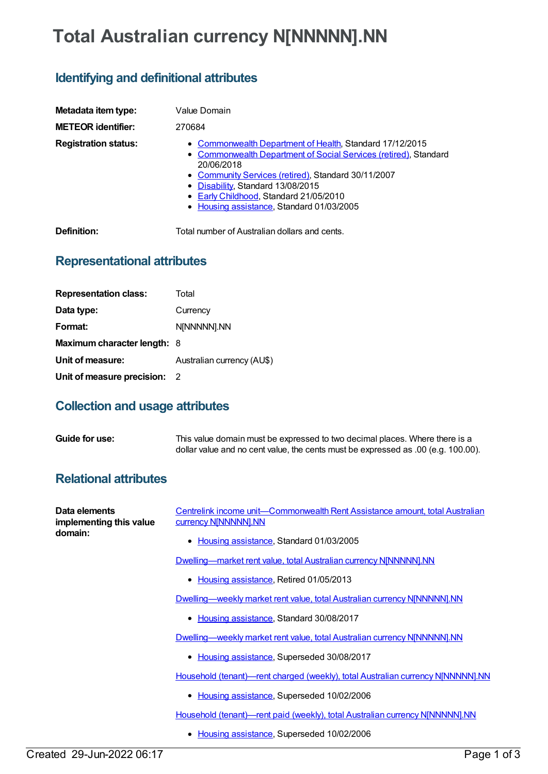# **Total Australian currency N[NNNNN].NN**

## **Identifying and definitional attributes**

| Metadata item type:<br><b>METEOR identifier:</b> | Value Domain<br>270684                                                                                                                                                                                                                                                                                                        |
|--------------------------------------------------|-------------------------------------------------------------------------------------------------------------------------------------------------------------------------------------------------------------------------------------------------------------------------------------------------------------------------------|
| <b>Registration status:</b>                      | • Commonwealth Department of Health, Standard 17/12/2015<br>• Commonwealth Department of Social Services (retired), Standard<br>20/06/2018<br>• Community Services (retired), Standard 30/11/2007<br>• Disability, Standard 13/08/2015<br>• Early Childhood, Standard 21/05/2010<br>• Housing assistance, Standard 01/03/2005 |
| Definition:                                      | Total number of Australian dollars and cents.                                                                                                                                                                                                                                                                                 |

## **Representational attributes**

| <b>Representation class:</b> | Total                      |
|------------------------------|----------------------------|
| Data type:                   | Currency                   |
| Format:                      | N[NNNNN].NN                |
| Maximum character length: 8  |                            |
| Unit of measure:             | Australian currency (AU\$) |
| Unit of measure precision:   | - 2                        |

#### **Collection and usage attributes**

| Guide for use: | This value domain must be expressed to two decimal places. Where there is a       |
|----------------|-----------------------------------------------------------------------------------|
|                | dollar value and no cent value, the cents must be expressed as .00 (e.g. 100.00). |

#### **Relational attributes**

| Data elements<br>implementing this value<br>domain: | Centrelink income unit—Commonwealth Rent Assistance amount, total Australian<br>currency N[NNNNN].NN |
|-----------------------------------------------------|------------------------------------------------------------------------------------------------------|
|                                                     | Housing assistance, Standard 01/03/2005                                                              |
|                                                     | Dwelling-market rent value, total Australian currency N[NNNNN].NN                                    |
|                                                     | Housing assistance, Retired 01/05/2013                                                               |
|                                                     | Dwelling—weekly market rent value, total Australian currency NJNNNNN].NN                             |
|                                                     | Housing assistance, Standard 30/08/2017                                                              |
|                                                     | Dwelling—weekly market rent value, total Australian currency NJNNNNN].NN                             |
|                                                     | Housing assistance, Superseded 30/08/2017                                                            |
|                                                     | Household (tenant)—rent charged (weekly), total Australian currency NJNNNNNI.NN                      |
|                                                     | Housing assistance, Superseded 10/02/2006                                                            |
|                                                     | Household (tenant)—rent paid (weekly), total Australian currency NJNNNNN].NN                         |
|                                                     | Housing assistance, Superseded 10/02/2006                                                            |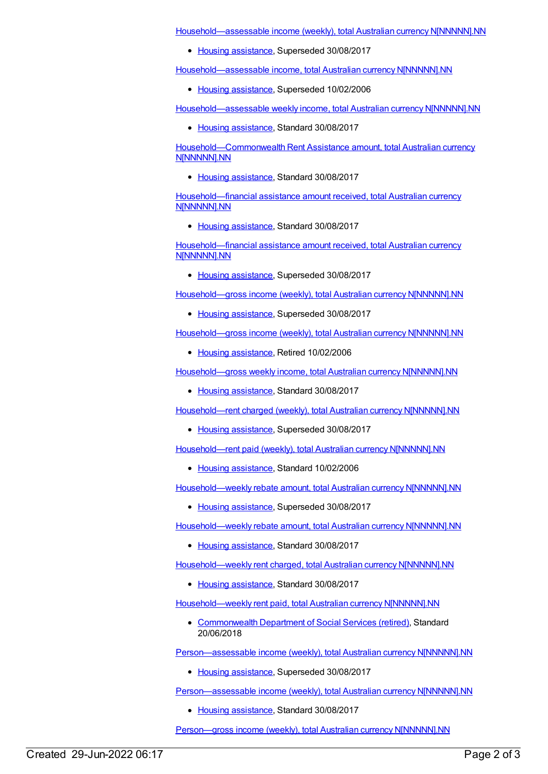[Household—assessable](https://meteor.aihw.gov.au/content/462194) income (weekly), total Australian currency N[NNNNN].NN

• Housing [assistance](https://meteor.aihw.gov.au/RegistrationAuthority/11), Superseded 30/08/2017

[Household—assessable](https://meteor.aihw.gov.au/content/270317) income, total Australian currency N[NNNNN].NN

• Housing [assistance](https://meteor.aihw.gov.au/RegistrationAuthority/11), Superseded 10/02/2006

[Household—assessable](https://meteor.aihw.gov.au/content/595877) weekly income, total Australian currency N[NNNNN].NN

• Housing [assistance](https://meteor.aihw.gov.au/RegistrationAuthority/11), Standard 30/08/2017

[Household—Commonwealth](https://meteor.aihw.gov.au/content/610107) Rent Assistance amount, total Australian currency N[NNNNN].NN

• Housing [assistance](https://meteor.aihw.gov.au/RegistrationAuthority/11), Standard 30/08/2017

[Household—financial](https://meteor.aihw.gov.au/content/608508) assistance amount received, total Australian currency N[NNNNN].NN

• Housing [assistance](https://meteor.aihw.gov.au/RegistrationAuthority/11), Standard 30/08/2017

[Household—financial](https://meteor.aihw.gov.au/content/385254) assistance amount received, total Australian currency N[NNNNN].NN

• Housing [assistance](https://meteor.aihw.gov.au/RegistrationAuthority/11), Superseded 30/08/2017

[Household—gross](https://meteor.aihw.gov.au/content/452645) income (weekly), total Australian currency N[NNNNN].NN

• Housing [assistance](https://meteor.aihw.gov.au/RegistrationAuthority/11), Superseded 30/08/2017

[Household—gross](https://meteor.aihw.gov.au/content/270318) income (weekly), total Australian currency N[NNNNN].NN

• Housing [assistance](https://meteor.aihw.gov.au/RegistrationAuthority/11), Retired 10/02/2006

[Household—gross](https://meteor.aihw.gov.au/content/607882) weekly income, total Australian currency N[NNNNN].NN

• Housing [assistance](https://meteor.aihw.gov.au/RegistrationAuthority/11), Standard 30/08/2017

[Household—rent](https://meteor.aihw.gov.au/content/302600) charged (weekly), total Australian currency N[NNNNN].NN

• Housing [assistance](https://meteor.aihw.gov.au/RegistrationAuthority/11), Superseded 30/08/2017

[Household—rent](https://meteor.aihw.gov.au/content/302612) paid (weekly), total Australian currency N[NNNNN].NN

• Housing [assistance](https://meteor.aihw.gov.au/RegistrationAuthority/11), Standard 10/02/2006

[Household—weekly](https://meteor.aihw.gov.au/content/461250) rebate amount, total Australian currency N[NNNNN].NN

• Housing [assistance](https://meteor.aihw.gov.au/RegistrationAuthority/11), Superseded 30/08/2017

[Household—weekly](https://meteor.aihw.gov.au/content/607896) rebate amount, total Australian currency N[NNNNN].NN

• Housing [assistance](https://meteor.aihw.gov.au/RegistrationAuthority/11), Standard 30/08/2017

[Household—weekly](https://meteor.aihw.gov.au/content/607894) rent charged, total Australian currency N[NNNNN].NN

• Housing [assistance](https://meteor.aihw.gov.au/RegistrationAuthority/11), Standard 30/08/2017

[Household—weekly](https://meteor.aihw.gov.au/content/653397) rent paid, total Australian currency N[NNNNN].NN

[Commonwealth](https://meteor.aihw.gov.au/RegistrationAuthority/7) Department of Social Services (retired), Standard 20/06/2018

[Person—assessable](https://meteor.aihw.gov.au/content/302218) income (weekly), total Australian currency N[NNNNN].NN

• Housing [assistance](https://meteor.aihw.gov.au/RegistrationAuthority/11), Superseded 30/08/2017

[Person—assessable](https://meteor.aihw.gov.au/content/595870) income (weekly), total Australian currency N[NNNNN].NN

• Housing [assistance](https://meteor.aihw.gov.au/RegistrationAuthority/11), Standard 30/08/2017

[Person—gross](https://meteor.aihw.gov.au/content/302481) income (weekly), total Australian currency N[NNNNN].NN